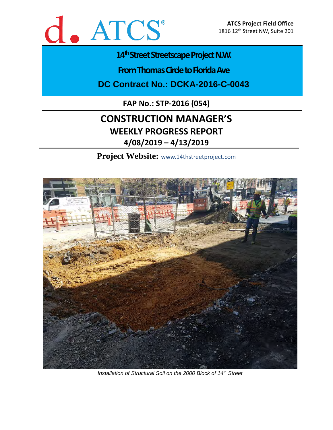

# 14<sup>th</sup> Street Streetscape Project N.W.

**From Thomas Circle to Florida Ave** 

**DC Contract No.: DCKA-2016-C-0043**

**FAP No.: STP-2016 (054)**

# **CONSTRUCTION MANAGER'S WEEKLY PROGRESS REPORT 4/08/2019 – 4/13/2019**

**Project Website:** www.14thstreetproject.com



*Installation of Structural Soil on the 2000 Block of 14th Street*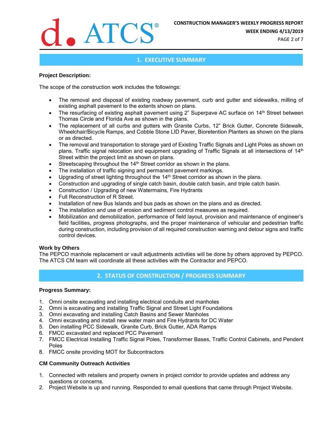

**WEEK ENDING 4/13/2019**

PAGE 2 of 7

## **1. EXECUTIVE SUMMARY**

#### **Project Description:**

The scope of the construction work includes the followings:

- The removal and disposal of existing roadway pavement, curb and gutter and sidewalks, milling of existing asphalt pavement to the extents shown on plans.
- The resurfacing of existing asphalt pavement using 2" Superpave AC surface on 14<sup>th</sup> Street between Thomas Circle and Florida Ave as shown in the plans.
- The replacement of all curbs and gutters with Granite Curbs, 12" Brick Gutter, Concrete Sidewalk, Wheelchair/Bicycle Ramps, and Cobble Stone LID Paver, Bioretention Planters as shown on the plans or as directed.
- The removal and transportation to storage yard of Existing Traffic Signals and Light Poles as shown on plans. Traffic signal relocation and equipment upgrading of Traffic Signals at all intersections of 14<sup>th</sup> Street within the project limit as shown on plans.
- Streetscaping throughout the 14<sup>th</sup> Street corridor as shown in the plans.
- The installation of traffic signing and permanent pavement markings.
- Upgrading of street lighting throughout the 14<sup>th</sup> Street corridor as shown in the plans.
- Construction and upgrading of single catch basin, double catch basin, and triple catch basin.
- Construction / Upgrading of new Watermains, Fire Hydrants
- Full Reconstruction of R Street.
- Installation of new Bus Islands and bus pads as shown on the plans and as directed.
- The installation and use of erosion and sediment control measures as required.
- Mobilization and demobilization, performance of field layout, provision and maintenance of engineer's field facilities, progress photographs, and the proper maintenance of vehicular and pedestrian traffic during construction, including provision of all required construction warning and detour signs and traffic control devices.

#### **Work by Others**

The PEPCO manhole replacement or vault adjustments activities will be done by others approved by PEPCO. The ATCS CM team will coordinate all these activities with the Contractor and PEPCO.

# **2. STATUS OF CONSTRUCTION / PROGRESS SUMMARY**

#### **Progress Summary:**

- 1. Omni onsite excavating and installing electrical conduits and manholes
- 2. Omni is excavating and installing Traffic Signal and Street Light Foundations
- 3. Omni excavating and installing Catch Basins and Sewer Manholes
- 4. Omni excavating and install new water main and Fire Hydrants for DC Water
- 5. Den installing PCC Sidewalk, Granite Curb, Brick Gutter, ADA Ramps
- 6. FMCC excavated and replaced PCC Pavement
- 7. FMCC Electrical Installing Traffic Signal Poles, Transformer Bases, Traffic Control Cabinets, and Pendent Poles
- 8. FMCC onsite providing MOT for Subcontractors

#### **CM Community Outreach Activities**

- 1. Connected with retailers and property owners in project corridor to provide updates and address any questions or concerns.
- 2. Project Website is up and running. Responded to email questions that came through Project Website.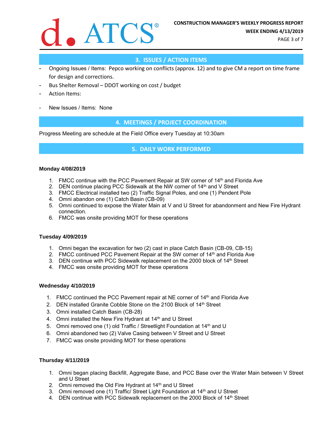

PAGE 3 of 7

# **3. ISSUES / ACTION ITEMS**

- Ongoing Issues / Items: Pepco working on conflicts (approx. 12) and to give CM a report on time frame for design and corrections.
- Bus Shelter Removal DDOT working on cost / budget
- Action Items:
- New Issues / Items: None

## **4. MEETINGS / PROJECT COORDINATION**

Progress Meeting are schedule at the Field Office every Tuesday at 10:30am

#### **5. DAILY WORK PERFORMED**

#### **Monday 4/08/2019**

- 1. FMCC continue with the PCC Pavement Repair at SW corner of 14th and Florida Ave
- 2. DEN continue placing PCC Sidewalk at the NW corner of 14<sup>th</sup> and V Street
- 3. FMCC Electrical installed two (2) Traffic Signal Poles, and one (1) Pendent Pole
- 4. Omni abandon one (1) Catch Basin (CB-09)
- 5. Omni continued to expose the Water Main at V and U Street for abandonment and New Fire Hydrant connection.
- 6. FMCC was onsite providing MOT for these operations

#### **Tuesday 4/09/2019**

- 1. Omni began the excavation for two (2) cast in place Catch Basin (CB-09, CB-15)
- 2. FMCC continued PCC Pavement Repair at the SW corner of 14<sup>th</sup> and Florida Ave
- 3. DEN continue with PCC Sidewalk replacement on the 2000 block of  $14<sup>th</sup>$  Street
- 4. FMCC was onsite providing MOT for these operations

#### **Wednesday 4/10/2019**

- 1. FMCC continued the PCC Pavement repair at NE corner of 14<sup>th</sup> and Florida Ave
- 2. DEN installed Granite Cobble Stone on the 2100 Block of 14th Street
- 3. Omni installed Catch Basin (CB-28)
- 4. Omni installed the New Fire Hydrant at 14<sup>th</sup> and U Street
- 5. Omni removed one (1) old Traffic / Streetlight Foundation at 14<sup>th</sup> and U
- 6. Omni abandoned two (2) Valve Casing between V Street and U Street
- 7. FMCC was onsite providing MOT for these operations

#### **Thursday 4/11/2019**

- 1. Omni began placing Backfill, Aggregate Base, and PCC Base over the Water Main between V Street and U Street
- 2. Omni removed the Old Fire Hydrant at 14<sup>th</sup> and U Street
- 3. Omni removed one (1) Traffic/ Street Light Foundation at 14<sup>th</sup> and U Street
- 4. DEN continue with PCC Sidewalk replacement on the 2000 Block of 14<sup>th</sup> Street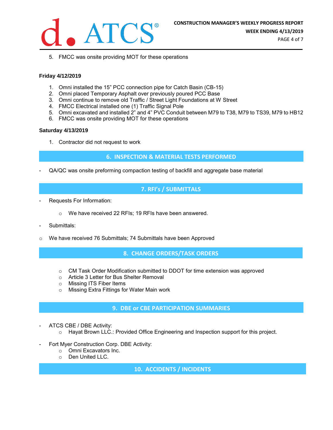

PAGE 4 of 7

5. FMCC was onsite providing MOT for these operations

#### **Friday 4/12/2019**

- 1. Omni installed the 15" PCC connection pipe for Catch Basin (CB-15)
- 2. Omni placed Temporary Asphalt over previously poured PCC Base
- 3. Omni continue to remove old Traffic / Street Light Foundations at W Street
- 4. FMCC Electrical installed one (1) Traffic Signal Pole
- 5. Omni excavated and installed 2" and 4" PVC Conduit between M79 to T38, M79 to TS39, M79 to HB12
- 6. FMCC was onsite providing MOT for these operations

#### **Saturday 4/13/2019**

1. Contractor did not request to work

### **6. INSPECTION & MATERIAL TESTS PERFORMED**

- QA/QC was onsite preforming compaction testing of backfill and aggregate base material

# **7. RFI's / SUBMITTALS**

- Requests For Information:
	- o We have received 22 RFIs; 19 RFIs have been answered.
- Submittals:
- o We have received 76 Submittals; 74 Submittals have been Approved

# **8. CHANGE ORDERS/TASK ORDERS**

- $\circ$  CM Task Order Modification submitted to DDOT for time extension was approved
- o Article 3 Letter for Bus Shelter Removal
- o Missing ITS Fiber Items
- o Missing Extra Fittings for Water Main work

### **9. DBE or CBE PARTICIPATION SUMMARIES**

- ATCS CBE / DBE Activity:
	- $\circ$  Hayat Brown LLC.: Provided Office Engineering and Inspection support for this project.
- Fort Myer Construction Corp. DBE Activity:
	- o Omni Excavators Inc.
	- o Den United LLC.

**10. ACCIDENTS / INCIDENTS**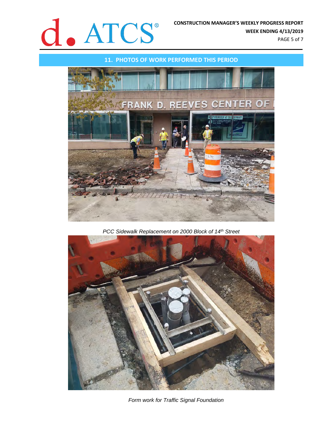

**WEEK ENDING 4/13/2019**

PAGE 5 of 7



*PCC Sidewalk Replacement on 2000 Block of 14th Street*



*Form work for Traffic Signal Foundation*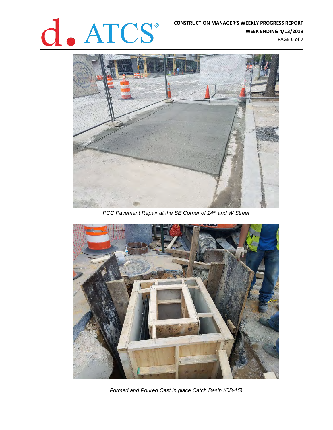# **CONSTRUCTION MANAGER'S WEEKLY PROGRESS REPORT**<br>WEEK ENDING 4/13/2019

**WEEK ENDING 4/13/2019**

PAGE 6 of 7



*PCC Pavement Repair at the SE Corner of 14th and W Street*



*Formed and Poured Cast in place Catch Basin (CB-15)*